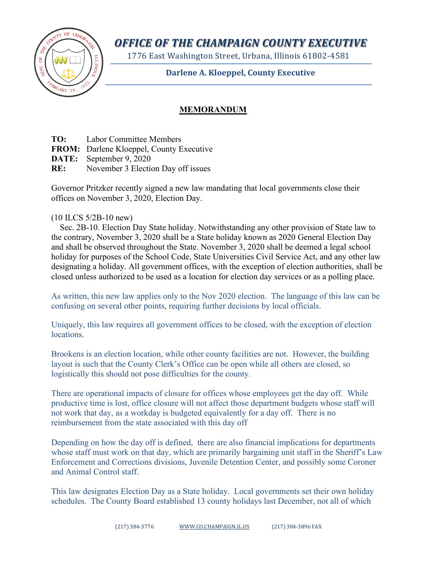

*OFFICE OF THE CHAMPAIGN COUNTY EXECUTIVE*

1776 East Washington Street, Urbana, Illinois 61802-4581

**Darlene A. Kloeppel, County Executive**

## **MEMORANDUM**

**TO:** Labor Committee Members

**FROM:** Darlene Kloeppel, County Executive

**DATE:** September 9, 2020

**RE:** November 3 Election Day off issues

Governor Pritzker recently signed a new law mandating that local governments close their offices on November 3, 2020, Election Day.

(10 ILCS 5/2B-10 new)

 Sec. 2B-10. Election Day State holiday. Notwithstanding any other provision of State law to the contrary, November 3, 2020 shall be a State holiday known as 2020 General Election Day and shall be observed throughout the State. November 3, 2020 shall be deemed a legal school holiday for purposes of the School Code, State Universities Civil Service Act, and any other law designating a holiday. All government offices, with the exception of election authorities, shall be closed unless authorized to be used as a location for election day services or as a polling place.

As written, this new law applies only to the Nov 2020 election. The language of this law can be confusing on several other points, requiring further decisions by local officials.

Uniquely, this law requires all government offices to be closed, with the exception of election locations.

Brookens is an election location, while other county facilities are not. However, the building layout is such that the County Clerk's Office can be open while all others are closed, so logistically this should not pose difficulties for the county.

There are operational impacts of closure for offices whose employees get the day off. While productive time is lost, office closure will not affect those department budgets whose staff will not work that day, as a workday is budgeted equivalently for a day off. There is no reimbursement from the state associated with this day off

Depending on how the day off is defined, there are also financial implications for departments whose staff must work on that day, which are primarily bargaining unit staff in the Sheriff's Law Enforcement and Corrections divisions, Juvenile Detention Center, and possibly some Coroner and Animal Control staff.

This law designates Election Day as a State holiday. Local governments set their own holiday schedules. The County Board established 13 county holidays last December, not all of which